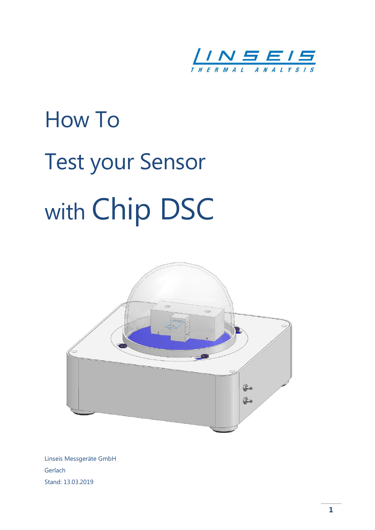

# How To Test your Sensor with Chip DSC



Linseis Messgeräte GmbH Gerlach Stand: 13.03.2019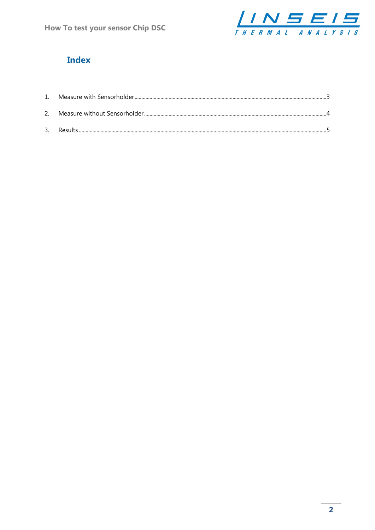

## **Index**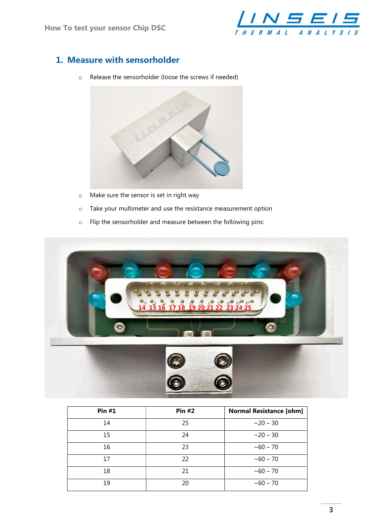

## 1. Measure with sensorholder

o Release the sensorholder (loose the screws if needed)



- o Make sure the sensor is set in right way
- o Take your multimeter and use the resistance measurement option
- o Flip the sensorholder and measure between the following pins:



| <b>Pin #1</b> | <b>Pin #2</b> | <b>Normal Resistance [ohm]</b> |
|---------------|---------------|--------------------------------|
| 14            | 25            | $~20 - 30$                     |
| 15            | 24            | $~20 - 30$                     |
| 16            | 23            | $~10 - 70$                     |
| 17            | 22            | $~10 - 70$                     |
| 18            | 21            | $~10 - 70$                     |
| 19            | 20            | $~10 - 70$                     |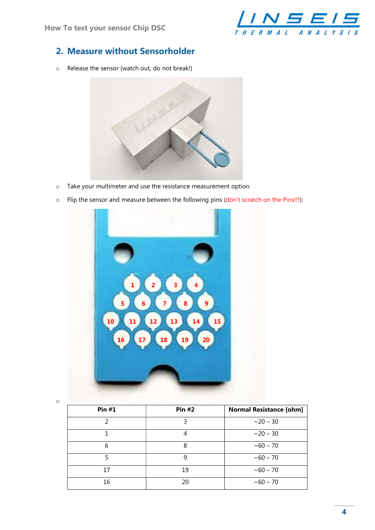

### 2. Measure without Sensorholder

o Release the sensor (watch out, do not break!)



- o Take your multimeter and use the resistance measurement option
- o Flip the sensor and measure between the following pins (don't scratch on the Pins!!!):



o

| <b>Pin #1</b> | <b>Pin #2</b> | <b>Normal Resistance [ohm]</b> |
|---------------|---------------|--------------------------------|
| 2             | 3             | $~20 - 30$                     |
|               | 4             | $~20 - 30$                     |
| 6             | 8             | $~10 - 70$                     |
|               | 9             | $~10 - 70$                     |
| 17            | 19            | $~10 - 70$                     |
| 16            | 20            | $~10 - 70$                     |